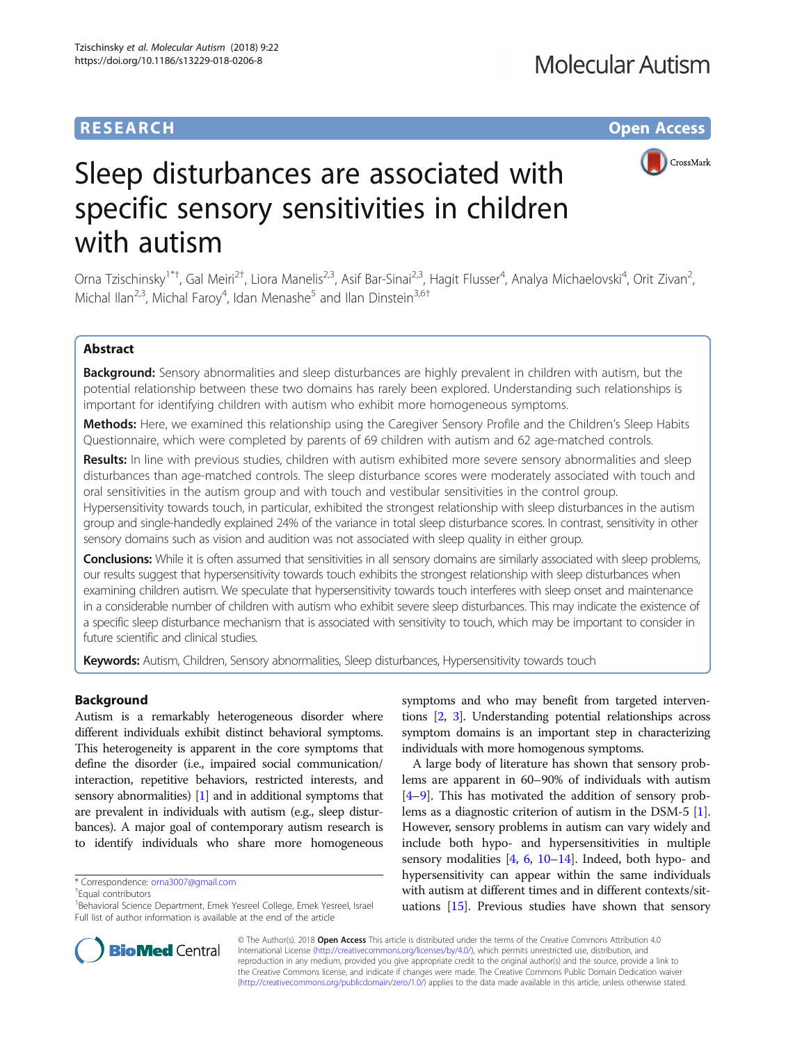## **RESEARCH CHE Open Access**



# Sleep disturbances are associated with specific sensory sensitivities in children with autism

Orna Tzischinsky<sup>1\*†</sup>, Gal Meiri<sup>2†</sup>, Liora Manelis<sup>2,3</sup>, Asif Bar-Sinai<sup>2,3</sup>, Hagit Flusser<sup>4</sup>, Analya Michaelovski<sup>4</sup>, Orit Zivan<sup>2</sup> , Michal Ilan<sup>2,3</sup>, Michal Faroy<sup>4</sup>, Idan Menashe<sup>5</sup> and Ilan Dinstein<sup>3,6†</sup>

## Abstract

Background: Sensory abnormalities and sleep disturbances are highly prevalent in children with autism, but the potential relationship between these two domains has rarely been explored. Understanding such relationships is important for identifying children with autism who exhibit more homogeneous symptoms.

Methods: Here, we examined this relationship using the Caregiver Sensory Profile and the Children's Sleep Habits Questionnaire, which were completed by parents of 69 children with autism and 62 age-matched controls.

Results: In line with previous studies, children with autism exhibited more severe sensory abnormalities and sleep disturbances than age-matched controls. The sleep disturbance scores were moderately associated with touch and oral sensitivities in the autism group and with touch and vestibular sensitivities in the control group. Hypersensitivity towards touch, in particular, exhibited the strongest relationship with sleep disturbances in the autism group and single-handedly explained 24% of the variance in total sleep disturbance scores. In contrast, sensitivity in other

sensory domains such as vision and audition was not associated with sleep quality in either group. Conclusions: While it is often assumed that sensitivities in all sensory domains are similarly associated with sleep problems, our results suggest that hypersensitivity towards touch exhibits the strongest relationship with sleep disturbances when examining children autism. We speculate that hypersensitivity towards touch interferes with sleep onset and maintenance in a considerable number of children with autism who exhibit severe sleep disturbances. This may indicate the existence of a specific sleep disturbance mechanism that is associated with sensitivity to touch, which may be important to consider in

future scientific and clinical studies.

Keywords: Autism, Children, Sensory abnormalities, Sleep disturbances, Hypersensitivity towards touch

## Background

Autism is a remarkably heterogeneous disorder where different individuals exhibit distinct behavioral symptoms. This heterogeneity is apparent in the core symptoms that define the disorder (i.e., impaired social communication/ interaction, repetitive behaviors, restricted interests, and sensory abnormalities) [\[1\]](#page-8-0) and in additional symptoms that are prevalent in individuals with autism (e.g., sleep disturbances). A major goal of contemporary autism research is to identify individuals who share more homogeneous

\* Correspondence: [orna3007@gmail.com](mailto:orna3007@gmail.com) †

Equal contributors

<sup>1</sup> Behavioral Science Department, Emek Yesreel College, Emek Yesreel, Israel Full list of author information is available at the end of the article

symptoms and who may benefit from targeted interventions [[2](#page-8-0), [3\]](#page-8-0). Understanding potential relationships across symptom domains is an important step in characterizing individuals with more homogenous symptoms.

A large body of literature has shown that sensory problems are apparent in 60–90% of individuals with autism [[4](#page-8-0)–[9](#page-8-0)]. This has motivated the addition of sensory problems as a diagnostic criterion of autism in the DSM-5 [[1](#page-8-0)]. However, sensory problems in autism can vary widely and include both hypo- and hypersensitivities in multiple sensory modalities [\[4](#page-8-0), [6,](#page-8-0) [10](#page-8-0)–[14\]](#page-8-0). Indeed, both hypo- and hypersensitivity can appear within the same individuals with autism at different times and in different contexts/situations [\[15\]](#page-8-0). Previous studies have shown that sensory



© The Author(s). 2018 Open Access This article is distributed under the terms of the Creative Commons Attribution 4.0 International License [\(http://creativecommons.org/licenses/by/4.0/](http://creativecommons.org/licenses/by/4.0/)), which permits unrestricted use, distribution, and reproduction in any medium, provided you give appropriate credit to the original author(s) and the source, provide a link to the Creative Commons license, and indicate if changes were made. The Creative Commons Public Domain Dedication waiver [\(http://creativecommons.org/publicdomain/zero/1.0/](http://creativecommons.org/publicdomain/zero/1.0/)) applies to the data made available in this article, unless otherwise stated.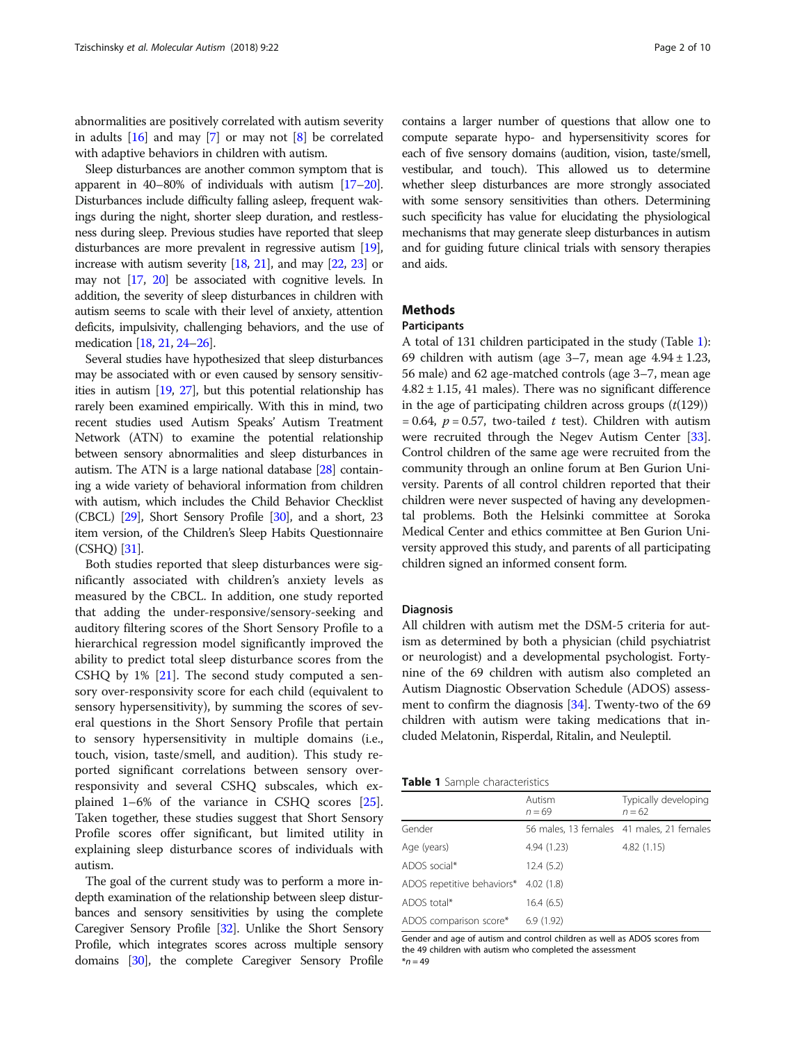abnormalities are positively correlated with autism severity in adults  $[16]$  $[16]$  $[16]$  and may  $[7]$  or may not  $[8]$  $[8]$  be correlated with adaptive behaviors in children with autism.

Sleep disturbances are another common symptom that is apparent in 40–80% of individuals with autism [[17](#page-8-0)–[20](#page-8-0)]. Disturbances include difficulty falling asleep, frequent wakings during the night, shorter sleep duration, and restlessness during sleep. Previous studies have reported that sleep disturbances are more prevalent in regressive autism [\[19](#page-8-0)], increase with autism severity [\[18](#page-8-0), [21](#page-8-0)], and may [\[22,](#page-8-0) [23\]](#page-8-0) or may not [\[17,](#page-8-0) [20](#page-8-0)] be associated with cognitive levels. In addition, the severity of sleep disturbances in children with autism seems to scale with their level of anxiety, attention deficits, impulsivity, challenging behaviors, and the use of medication [[18](#page-8-0), [21](#page-8-0), [24](#page-8-0)–[26\]](#page-8-0).

Several studies have hypothesized that sleep disturbances may be associated with or even caused by sensory sensitivities in autism [[19](#page-8-0), [27\]](#page-8-0), but this potential relationship has rarely been examined empirically. With this in mind, two recent studies used Autism Speaks' Autism Treatment Network (ATN) to examine the potential relationship between sensory abnormalities and sleep disturbances in autism. The ATN is a large national database [\[28\]](#page-8-0) containing a wide variety of behavioral information from children with autism, which includes the Child Behavior Checklist (CBCL) [\[29\]](#page-8-0), Short Sensory Profile [\[30\]](#page-8-0), and a short, 23 item version, of the Children's Sleep Habits Questionnaire (CSHQ) [\[31\]](#page-8-0).

Both studies reported that sleep disturbances were significantly associated with children's anxiety levels as measured by the CBCL. In addition, one study reported that adding the under-responsive/sensory-seeking and auditory filtering scores of the Short Sensory Profile to a hierarchical regression model significantly improved the ability to predict total sleep disturbance scores from the CSHQ by 1% [[21\]](#page-8-0). The second study computed a sensory over-responsivity score for each child (equivalent to sensory hypersensitivity), by summing the scores of several questions in the Short Sensory Profile that pertain to sensory hypersensitivity in multiple domains (i.e., touch, vision, taste/smell, and audition). This study reported significant correlations between sensory overresponsivity and several CSHQ subscales, which explained 1–6% of the variance in CSHQ scores [\[25](#page-8-0)]. Taken together, these studies suggest that Short Sensory Profile scores offer significant, but limited utility in explaining sleep disturbance scores of individuals with autism.

The goal of the current study was to perform a more indepth examination of the relationship between sleep disturbances and sensory sensitivities by using the complete Caregiver Sensory Profile [\[32](#page-8-0)]. Unlike the Short Sensory Profile, which integrates scores across multiple sensory domains [\[30](#page-8-0)], the complete Caregiver Sensory Profile contains a larger number of questions that allow one to compute separate hypo- and hypersensitivity scores for each of five sensory domains (audition, vision, taste/smell, vestibular, and touch). This allowed us to determine whether sleep disturbances are more strongly associated with some sensory sensitivities than others. Determining such specificity has value for elucidating the physiological mechanisms that may generate sleep disturbances in autism and for guiding future clinical trials with sensory therapies and aids.

## Methods

## Participants

A total of 131 children participated in the study (Table 1): 69 children with autism (age  $3-7$ , mean age  $4.94 \pm 1.23$ , 56 male) and 62 age-matched controls (age 3–7, mean age  $4.82 \pm 1.15$ , 41 males). There was no significant difference in the age of participating children across groups  $(t(129))$ = 0.64,  $p = 0.57$ , two-tailed t test). Children with autism were recruited through the Negev Autism Center [[33](#page-8-0)]. Control children of the same age were recruited from the community through an online forum at Ben Gurion University. Parents of all control children reported that their children were never suspected of having any developmental problems. Both the Helsinki committee at Soroka Medical Center and ethics committee at Ben Gurion University approved this study, and parents of all participating children signed an informed consent form.

#### **Diagnosis**

All children with autism met the DSM-5 criteria for autism as determined by both a physician (child psychiatrist or neurologist) and a developmental psychologist. Fortynine of the 69 children with autism also completed an Autism Diagnostic Observation Schedule (ADOS) assessment to confirm the diagnosis [[34](#page-8-0)]. Twenty-two of the 69 children with autism were taking medications that included Melatonin, Risperdal, Ritalin, and Neuleptil.

|  |  | Table 1 Sample characteristics |
|--|--|--------------------------------|
|--|--|--------------------------------|

|                                       | Autism<br>$n = 69$                        | Typically developing<br>$n = 62$ |
|---------------------------------------|-------------------------------------------|----------------------------------|
| Gender                                | 56 males, 13 females 41 males, 21 females |                                  |
| Age (years)                           | 4.94 (1.23)                               | 4.82(1.15)                       |
| ADOS social*                          | 12.4(5.2)                                 |                                  |
| ADOS repetitive behaviors* 4.02 (1.8) |                                           |                                  |
| ADOS total*                           | 16.4(6.5)                                 |                                  |
| ADOS comparison score*                | 6.9(1.92)                                 |                                  |

Gender and age of autism and control children as well as ADOS scores from the 49 children with autism who completed the assessment  $*_{n} = 49$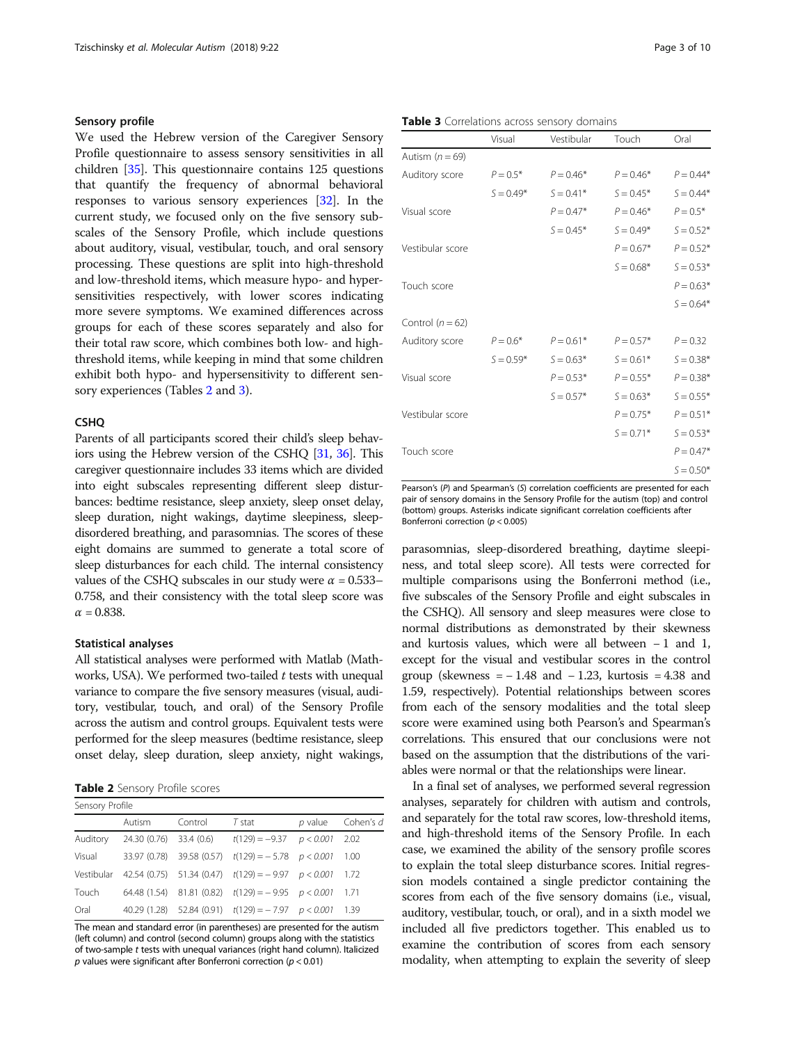#### <span id="page-2-0"></span>Sensory profile

We used the Hebrew version of the Caregiver Sensory Profile questionnaire to assess sensory sensitivities in all children [[35](#page-9-0)]. This questionnaire contains 125 questions that quantify the frequency of abnormal behavioral responses to various sensory experiences [\[32\]](#page-8-0). In the current study, we focused only on the five sensory subscales of the Sensory Profile, which include questions about auditory, visual, vestibular, touch, and oral sensory processing. These questions are split into high-threshold and low-threshold items, which measure hypo- and hypersensitivities respectively, with lower scores indicating more severe symptoms. We examined differences across groups for each of these scores separately and also for their total raw score, which combines both low- and highthreshold items, while keeping in mind that some children exhibit both hypo- and hypersensitivity to different sensory experiences (Tables 2 and 3).

#### **CSHO**

Parents of all participants scored their child's sleep behaviors using the Hebrew version of the CSHQ [\[31,](#page-8-0) [36\]](#page-9-0). This caregiver questionnaire includes 33 items which are divided into eight subscales representing different sleep disturbances: bedtime resistance, sleep anxiety, sleep onset delay, sleep duration, night wakings, daytime sleepiness, sleepdisordered breathing, and parasomnias. The scores of these eight domains are summed to generate a total score of sleep disturbances for each child. The internal consistency values of the CSHQ subscales in our study were  $\alpha = 0.533-$ 0.758, and their consistency with the total sleep score was  $α = 0.838$ .

#### Statistical analyses

All statistical analyses were performed with Matlab (Mathworks, USA). We performed two-tailed  $t$  tests with unequal variance to compare the five sensory measures (visual, auditory, vestibular, touch, and oral) of the Sensory Profile across the autism and control groups. Equivalent tests were performed for the sleep measures (bedtime resistance, sleep onset delay, sleep duration, sleep anxiety, night wakings,

Table 2 Sensory Profile scores

| Sensory Profile |        |         |                                                                        |  |                   |  |
|-----------------|--------|---------|------------------------------------------------------------------------|--|-------------------|--|
|                 | Autism | Control | $T$ stat                                                               |  | p value Cohen's a |  |
| Auditory        |        |         | 24.30 (0.76) 33.4 (0.6) $t(129) = -9.37$ $p < 0.001$ 2.02              |  |                   |  |
| Visual          |        |         | 33.97 (0.78) 39.58 (0.57) $t(129) = -5.78$ $p < 0.001$                 |  | 1.00              |  |
|                 |        |         | Vestibular 42.54 (0.75) 51.34 (0.47) $t(129) = -9.97$ $p < 0.001$ 1.72 |  |                   |  |
| Touch           |        |         | 64.48 (1.54) 81.81 (0.82) $t(129) = -9.95$ $p < 0.001$                 |  | - 1.71            |  |
| Oral            |        |         | 40.29 (1.28) $52.84(0.91)$ $t(129) = -7.97$ $p < 0.001$                |  | - 1.39            |  |

The mean and standard error (in parentheses) are presented for the autism (left column) and control (second column) groups along with the statistics of two-sample t tests with unequal variances (right hand column). Italicized  $p$  values were significant after Bonferroni correction ( $p < 0.01$ )

|                    | Visual      | Vestibular  | Touch       | Oral        |
|--------------------|-------------|-------------|-------------|-------------|
| Autism $(n = 69)$  |             |             |             |             |
| Auditory score     | $P = 0.5*$  | $P = 0.46*$ | $P = 0.46*$ | $P = 0.44*$ |
|                    | $S = 0.49*$ | $S = 0.41*$ | $S = 0.45*$ | $S = 0.44*$ |
| Visual score       |             | $P = 0.47*$ | $P = 0.46*$ | $P = 0.5*$  |
|                    |             | $S = 0.45*$ | $S = 0.49*$ | $S = 0.52*$ |
| Vestibular score   |             |             | $P = 0.67*$ | $P = 0.52*$ |
|                    |             |             | $S = 0.68*$ | $S = 0.53*$ |
| Touch score        |             |             |             | $P = 0.63*$ |
|                    |             |             |             | $S = 0.64*$ |
| Control $(n = 62)$ |             |             |             |             |
| Auditory score     | $P = 0.6*$  | $P = 0.61*$ | $P = 0.57*$ | $P = 0.32$  |
|                    | $S = 0.59*$ | $S = 0.63*$ | $S = 0.61*$ | $S = 0.38*$ |
| Visual score       |             | $P = 0.53*$ | $P = 0.55*$ | $P = 0.38*$ |
|                    |             | $S = 0.57*$ | $S = 0.63*$ | $S = 0.55*$ |
| Vestibular score   |             |             | $P = 0.75*$ | $P = 0.51*$ |
|                    |             |             | $S = 0.71*$ | $S = 0.53*$ |
| Touch score        |             |             |             | $P = 0.47*$ |
|                    |             |             |             | $S = 0.50*$ |

Pearson's (P) and Spearman's (S) correlation coefficients are presented for each pair of sensory domains in the Sensory Profile for the autism (top) and control (bottom) groups. Asterisks indicate significant correlation coefficients after Bonferroni correction ( $p < 0.005$ )

parasomnias, sleep-disordered breathing, daytime sleepiness, and total sleep score). All tests were corrected for multiple comparisons using the Bonferroni method (i.e., five subscales of the Sensory Profile and eight subscales in the CSHQ). All sensory and sleep measures were close to normal distributions as demonstrated by their skewness and kurtosis values, which were all between − 1 and 1, except for the visual and vestibular scores in the control group (skewness =  $-1.48$  and  $-1.23$ , kurtosis = 4.38 and 1.59, respectively). Potential relationships between scores from each of the sensory modalities and the total sleep score were examined using both Pearson's and Spearman's correlations. This ensured that our conclusions were not based on the assumption that the distributions of the variables were normal or that the relationships were linear.

In a final set of analyses, we performed several regression analyses, separately for children with autism and controls, and separately for the total raw scores, low-threshold items, and high-threshold items of the Sensory Profile. In each case, we examined the ability of the sensory profile scores to explain the total sleep disturbance scores. Initial regression models contained a single predictor containing the scores from each of the five sensory domains (i.e., visual, auditory, vestibular, touch, or oral), and in a sixth model we included all five predictors together. This enabled us to examine the contribution of scores from each sensory modality, when attempting to explain the severity of sleep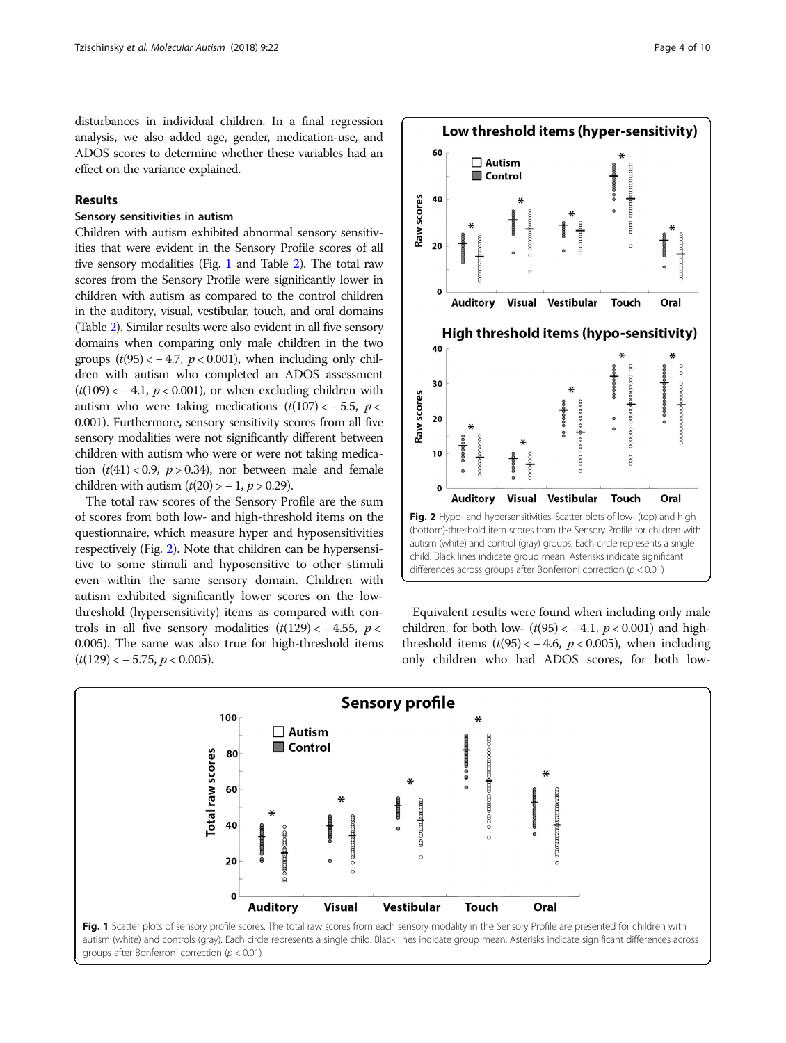<span id="page-3-0"></span>disturbances in individual children. In a final regression analysis, we also added age, gender, medication-use, and ADOS scores to determine whether these variables had an effect on the variance explained.

## Results

## Sensory sensitivities in autism

Children with autism exhibited abnormal sensory sensitivities that were evident in the Sensory Profile scores of all five sensory modalities (Fig. 1 and Table [2\)](#page-2-0). The total raw scores from the Sensory Profile were significantly lower in children with autism as compared to the control children in the auditory, visual, vestibular, touch, and oral domains (Table [2](#page-2-0)). Similar results were also evident in all five sensory domains when comparing only male children in the two groups  $(t(95) < -4.7, p < 0.001)$ , when including only children with autism who completed an ADOS assessment  $(t(109) < -4.1, p < 0.001)$ , or when excluding children with autism who were taking medications  $(t(107) < -5.5, p <$ 0.001). Furthermore, sensory sensitivity scores from all five sensory modalities were not significantly different between children with autism who were or were not taking medication  $(t(41) < 0.9, p > 0.34)$ , nor between male and female children with autism  $(t(20) > -1, p > 0.29)$ .

The total raw scores of the Sensory Profile are the sum of scores from both low- and high-threshold items on the questionnaire, which measure hyper and hyposensitivities respectively (Fig. 2). Note that children can be hypersensitive to some stimuli and hyposensitive to other stimuli even within the same sensory domain. Children with autism exhibited significantly lower scores on the lowthreshold (hypersensitivity) items as compared with controls in all five sensory modalities  $(t(129) < -4.55, p <$ 0.005). The same was also true for high-threshold items  $(t(129) < -5.75, p < 0.005).$ 



Low threshold items (hyper-sensitivity)

Equivalent results were found when including only male children, for both low-  $(t(95) < -4.1, p < 0.001)$  and highthreshold items  $(t(95) < -4.6, p < 0.005)$ , when including only children who had ADOS scores, for both low-



groups after Bonferroni correction ( $p < 0.01$ )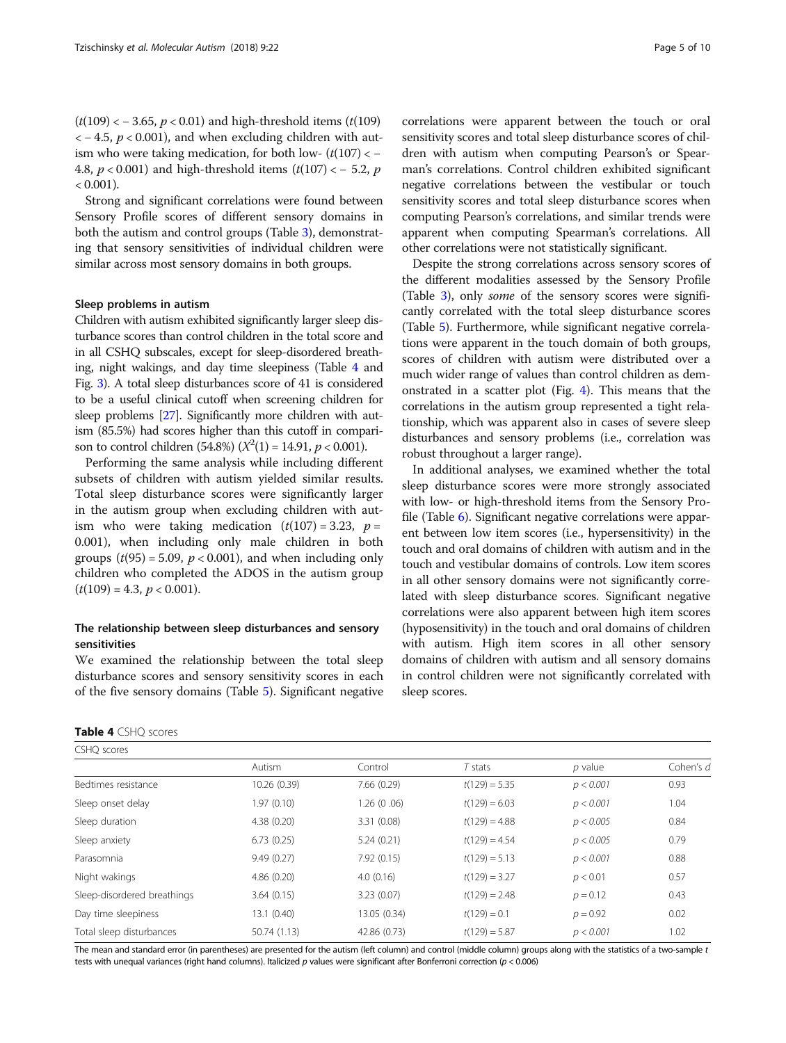$(t(109) < -3.65, p < 0.01)$  and high-threshold items  $(t(109))$  $<-4.5$ ,  $p < 0.001$ ), and when excluding children with autism who were taking medication, for both low-  $(t(107) < -1)$ 4.8,  $p < 0.001$ ) and high-threshold items  $(t(107) < -5.2, p$  $< 0.001$ ).

Strong and significant correlations were found between Sensory Profile scores of different sensory domains in both the autism and control groups (Table [3\)](#page-2-0), demonstrating that sensory sensitivities of individual children were similar across most sensory domains in both groups.

#### Sleep problems in autism

Children with autism exhibited significantly larger sleep disturbance scores than control children in the total score and in all CSHQ subscales, except for sleep-disordered breathing, night wakings, and day time sleepiness (Table 4 and Fig. [3](#page-5-0)). A total sleep disturbances score of 41 is considered to be a useful clinical cutoff when screening children for sleep problems [\[27\]](#page-8-0). Significantly more children with autism (85.5%) had scores higher than this cutoff in comparison to control children (54.8%)  $(X^2(1) = 14.91, p < 0.001)$ .

Performing the same analysis while including different subsets of children with autism yielded similar results. Total sleep disturbance scores were significantly larger in the autism group when excluding children with autism who were taking medication  $(t(107) = 3.23, p =$ 0.001), when including only male children in both groups  $(t(95) = 5.09, p < 0.001)$ , and when including only children who completed the ADOS in the autism group  $(t(109) = 4.3, p < 0.001).$ 

## The relationship between sleep disturbances and sensory sensitivities

We examined the relationship between the total sleep disturbance scores and sensory sensitivity scores in each of the five sensory domains (Table [5\)](#page-5-0). Significant negative

| Table 4 CSHQ scores |  |  |
|---------------------|--|--|
|---------------------|--|--|

correlations were apparent between the touch or oral sensitivity scores and total sleep disturbance scores of children with autism when computing Pearson's or Spearman's correlations. Control children exhibited significant negative correlations between the vestibular or touch sensitivity scores and total sleep disturbance scores when computing Pearson's correlations, and similar trends were apparent when computing Spearman's correlations. All other correlations were not statistically significant.

Despite the strong correlations across sensory scores of the different modalities assessed by the Sensory Profile (Table [3\)](#page-2-0), only some of the sensory scores were significantly correlated with the total sleep disturbance scores (Table [5\)](#page-5-0). Furthermore, while significant negative correlations were apparent in the touch domain of both groups, scores of children with autism were distributed over a much wider range of values than control children as demonstrated in a scatter plot (Fig. [4](#page-5-0)). This means that the correlations in the autism group represented a tight relationship, which was apparent also in cases of severe sleep disturbances and sensory problems (i.e., correlation was robust throughout a larger range).

In additional analyses, we examined whether the total sleep disturbance scores were more strongly associated with low- or high-threshold items from the Sensory Profile (Table [6](#page-6-0)). Significant negative correlations were apparent between low item scores (i.e., hypersensitivity) in the touch and oral domains of children with autism and in the touch and vestibular domains of controls. Low item scores in all other sensory domains were not significantly correlated with sleep disturbance scores. Significant negative correlations were also apparent between high item scores (hyposensitivity) in the touch and oral domains of children with autism. High item scores in all other sensory domains of children with autism and all sensory domains in control children were not significantly correlated with sleep scores.

| CSHQ scores                 |              |              |                 |            |           |
|-----------------------------|--------------|--------------|-----------------|------------|-----------|
|                             | Autism       | Control      | $T$ stats       | $p$ value  | Cohen's d |
| Bedtimes resistance         | 10.26 (0.39) | 7.66 (0.29)  | $t(129) = 5.35$ | p < 0.001  | 0.93      |
| Sleep onset delay           | 1.97(0.10)   | 1.26(0.06)   | $t(129) = 6.03$ | p < 0.001  | 1.04      |
| Sleep duration              | 4.38(0.20)   | 3.31(0.08)   | $t(129) = 4.88$ | p < 0.005  | 0.84      |
| Sleep anxiety               | 6.73(0.25)   | 5.24(0.21)   | $t(129) = 4.54$ | p < 0.005  | 0.79      |
| Parasomnia                  | 9.49(0.27)   | 7.92(0.15)   | $t(129) = 5.13$ | p < 0.001  | 0.88      |
| Night wakings               | 4.86(0.20)   | 4.0(0.16)    | $t(129) = 3.27$ | p < 0.01   | 0.57      |
| Sleep-disordered breathings | 3.64(0.15)   | 3.23(0.07)   | $t(129) = 2.48$ | $p = 0.12$ | 0.43      |
| Day time sleepiness         | 13.1 (0.40)  | 13.05 (0.34) | $t(129) = 0.1$  | $p = 0.92$ | 0.02      |
| Total sleep disturbances    | 50.74 (1.13) | 42.86 (0.73) | $t(129) = 5.87$ | p < 0.001  | 1.02      |

The mean and standard error (in parentheses) are presented for the autism (left column) and control (middle column) groups along with the statistics of a two-sample t tests with unequal variances (right hand columns). Italicized p values were significant after Bonferroni correction (p < 0.006)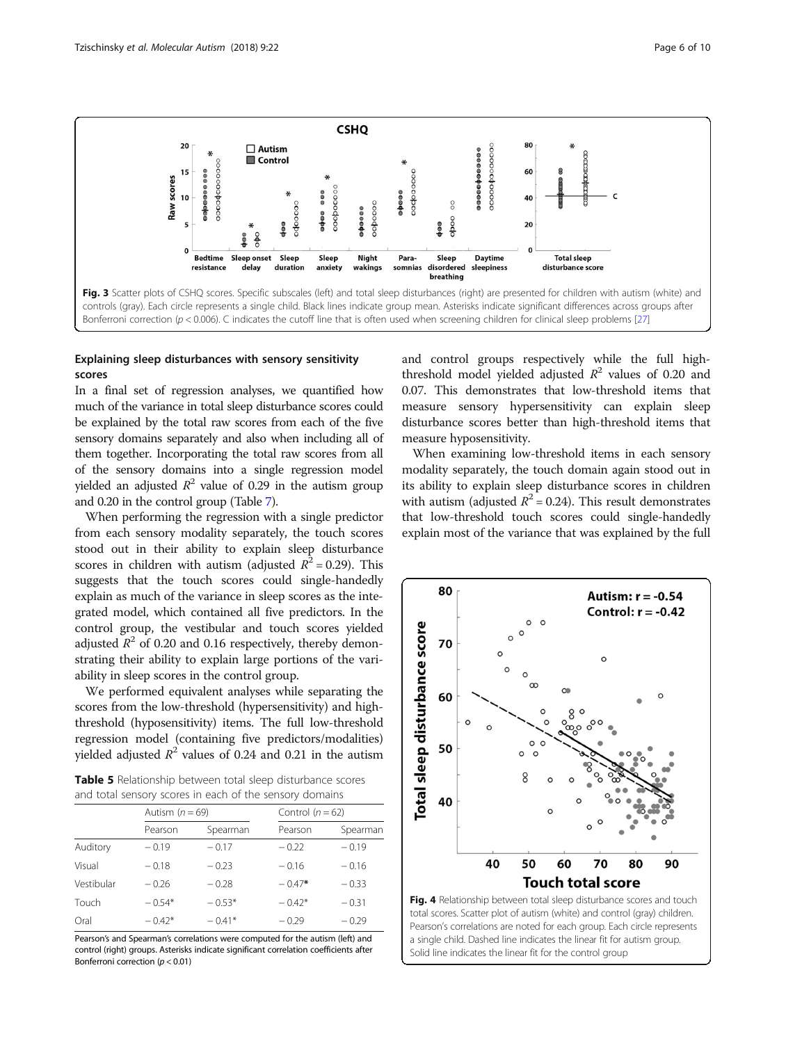<span id="page-5-0"></span>

## Explaining sleep disturbances with sensory sensitivity scores

In a final set of regression analyses, we quantified how much of the variance in total sleep disturbance scores could be explained by the total raw scores from each of the five sensory domains separately and also when including all of them together. Incorporating the total raw scores from all of the sensory domains into a single regression model yielded an adjusted  $R^2$  value of 0.29 in the autism group and 0.20 in the control group (Table [7\)](#page-6-0).

When performing the regression with a single predictor from each sensory modality separately, the touch scores stood out in their ability to explain sleep disturbance scores in children with autism (adjusted  $R^2 = 0.29$ ). This suggests that the touch scores could single-handedly explain as much of the variance in sleep scores as the integrated model, which contained all five predictors. In the control group, the vestibular and touch scores yielded adjusted  $R^2$  of 0.20 and 0.16 respectively, thereby demonstrating their ability to explain large portions of the variability in sleep scores in the control group.

We performed equivalent analyses while separating the scores from the low-threshold (hypersensitivity) and highthreshold (hyposensitivity) items. The full low-threshold regression model (containing five predictors/modalities) yielded adjusted  $R^2$  values of 0.24 and 0.21 in the autism

Table 5 Relationship between total sleep disturbance scores and total sensory scores in each of the sensory domains

|            | Autism $(n = 69)$ |          |          | Control $(n = 62)$ |  |  |
|------------|-------------------|----------|----------|--------------------|--|--|
|            | Pearson           | Spearman | Pearson  | Spearman           |  |  |
| Auditory   | $-0.19$           | $-0.17$  | $-0.22$  | $-0.19$            |  |  |
| Visual     | $-0.18$           | $-0.23$  | $-0.16$  | $-0.16$            |  |  |
| Vestibular | $-0.26$           | $-0.28$  | $-0.47*$ | $-0.33$            |  |  |
| Touch      | $-0.54*$          | $-0.53*$ | $-0.42*$ | $-0.31$            |  |  |
| Oral       | $-0.42*$          | $-0.41*$ | $-0.29$  | $-0.29$            |  |  |

Pearson's and Spearman's correlations were computed for the autism (left) and control (right) groups. Asterisks indicate significant correlation coefficients after Bonferroni correction ( $p < 0.01$ )

and control groups respectively while the full highthreshold model yielded adjusted  $R^2$  values of 0.20 and 0.07. This demonstrates that low-threshold items that measure sensory hypersensitivity can explain sleep disturbance scores better than high-threshold items that measure hyposensitivity.

When examining low-threshold items in each sensory modality separately, the touch domain again stood out in its ability to explain sleep disturbance scores in children with autism (adjusted  $R^2$  = 0.24). This result demonstrates that low-threshold touch scores could single-handedly explain most of the variance that was explained by the full



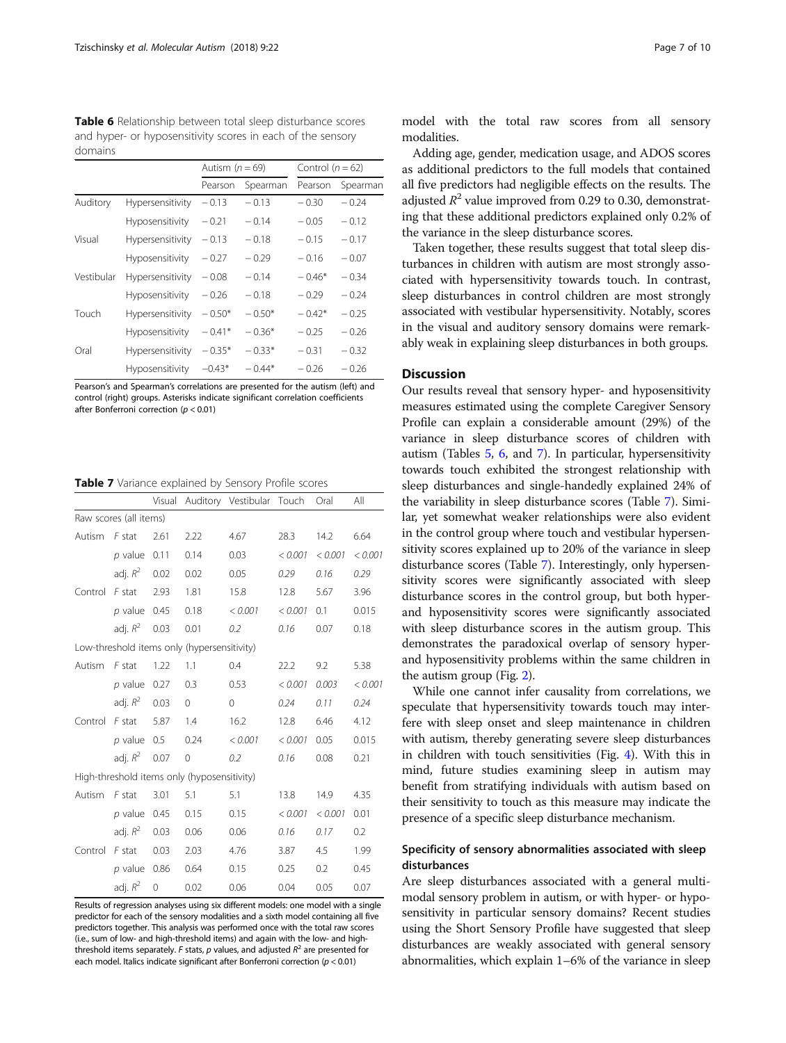<span id="page-6-0"></span>Table 6 Relationship between total sleep disturbance scores and hyper- or hyposensitivity scores in each of the sensory domains

|            |                         | Autism $(n = 69)$ |          | Control $(n = 62)$ |          |
|------------|-------------------------|-------------------|----------|--------------------|----------|
|            |                         | Pearson           | Spearman | Pearson            | Spearman |
| Auditory   | <b>Hypersensitivity</b> | $-0.13$           | $-0.13$  | $-0.30$            | $-0.24$  |
|            | Hyposensitivity         | $-0.21$           | $-0.14$  | $-0.05$            | $-0.12$  |
| Visual     | Hypersensitivity        | $-0.13$           | $-0.18$  | $-0.15$            | $-0.17$  |
|            | Hyposensitivity         | $-0.27$           | $-0.29$  | $-0.16$            | $-0.07$  |
| Vestibular | Hypersensitivity        | $-0.08$           | $-0.14$  | $-0.46*$           | $-0.34$  |
|            | Hyposensitivity         | $-0.26$           | $-0.18$  | $-0.29$            | $-0.24$  |
| Touch      | Hypersensitivity        | $-0.50*$          | $-0.50*$ | $-0.42*$           | $-0.25$  |
|            | Hyposensitivity         | $-0.41*$          | $-0.36*$ | $-0.25$            | $-0.26$  |
| Oral       | Hypersensitivity        | $-0.35*$          | $-0.33*$ | $-0.31$            | $-0.32$  |
|            | Hyposensitivity         | $-0.43*$          | $-0.44*$ | $-0.26$            | $-0.26$  |

Pearson's and Spearman's correlations are presented for the autism (left) and control (right) groups. Asterisks indicate significant correlation coefficients after Bonferroni correction ( $p < 0.01$ )

Table 7 Variance explained by Sensory Profile scores

|                  |                        | Visual   |                                             | Auditory Vestibular Touch |         | Oral    | All     |
|------------------|------------------------|----------|---------------------------------------------|---------------------------|---------|---------|---------|
|                  | Raw scores (all items) |          |                                             |                           |         |         |         |
| Autism           | $F$ stat               | 2.61     | 2.22                                        | 4.67                      | 28.3    | 14.2    | 6.64    |
|                  | $p$ value              | 0.11     | 0.14                                        | 0.03                      | < 0.001 | < 0.001 | < 0.001 |
|                  | adj. $R^2$             | 0.02     | 0.02                                        | 0.05                      | 0.29    | 0.16    | 0.29    |
| Control $F$ stat |                        | 2.93     | 1.81                                        | 15.8                      | 12.8    | 5.67    | 3.96    |
|                  | $p$ value              | 0.45     | 0.18                                        | < 0.001                   | < 0.001 | 0.1     | 0.015   |
|                  | adj. $R^2$             | 0.03     | 0.01                                        | 0.2                       | 0.16    | 0.07    | 0.18    |
|                  |                        |          | Low-threshold items only (hypersensitivity) |                           |         |         |         |
| Autism           | $F$ stat               | 1.22     | 1.1                                         | 0.4                       | 22.2    | 9.2     | 5.38    |
|                  | $p$ value              | 0.27     | 0.3                                         | 0.53                      | < 0.001 | 0.003   | < 0.001 |
|                  | adj. $R^2$             | 0.03     | $\Omega$                                    | $\mathbf 0$               | 0.24    | 0.11    | 0.24    |
| Control          | $F$ stat               | 5.87     | 1.4                                         | 16.2                      | 12.8    | 6.46    | 4.12    |
|                  | $p$ value              | 0.5      | 0.24                                        | < 0.001                   | < 0.001 | 0.05    | 0.015   |
|                  | adi. $R^2$             | 0.07     | $\Omega$                                    | 0.2                       | 0.16    | 0.08    | 0.21    |
|                  |                        |          | High-threshold items only (hyposensitivity) |                           |         |         |         |
| Autism           | $F$ stat               | 3.01     | 5.1                                         | 5.1                       | 13.8    | 14.9    | 4.35    |
|                  | $p$ value              | 0.45     | 0.15                                        | 0.15                      | < 0.001 | < 0.001 | 0.01    |
|                  | adj. $R^2$             | 0.03     | 0.06                                        | 0.06                      | 0.16    | 0.17    | 0.2     |
| Control          | $F$ stat               | 0.03     | 2.03                                        | 4.76                      | 3.87    | 4.5     | 1.99    |
|                  | $p$ value              | 0.86     | 0.64                                        | 0.15                      | 0.25    | 0.2     | 0.45    |
|                  | adj. $R^2$             | $\Omega$ | 0.02                                        | 0.06                      | 0.04    | 0.05    | 0.07    |

Results of regression analyses using six different models: one model with a single predictor for each of the sensory modalities and a sixth model containing all five predictors together. This analysis was performed once with the total raw scores (i.e., sum of low- and high-threshold items) and again with the low- and highthreshold items separately. F stats, p values, and adjusted  $R^2$  are presented for each model. Italics indicate significant after Bonferroni correction (p < 0.01)

model with the total raw scores from all sensory modalities.

Adding age, gender, medication usage, and ADOS scores as additional predictors to the full models that contained all five predictors had negligible effects on the results. The adjusted  $R^2$  value improved from 0.29 to 0.30, demonstrating that these additional predictors explained only 0.2% of the variance in the sleep disturbance scores.

Taken together, these results suggest that total sleep disturbances in children with autism are most strongly associated with hypersensitivity towards touch. In contrast, sleep disturbances in control children are most strongly associated with vestibular hypersensitivity. Notably, scores in the visual and auditory sensory domains were remarkably weak in explaining sleep disturbances in both groups.

## Discussion

Our results reveal that sensory hyper- and hyposensitivity measures estimated using the complete Caregiver Sensory Profile can explain a considerable amount (29%) of the variance in sleep disturbance scores of children with autism (Tables [5](#page-5-0), 6, and 7). In particular, hypersensitivity towards touch exhibited the strongest relationship with sleep disturbances and single-handedly explained 24% of the variability in sleep disturbance scores (Table 7). Similar, yet somewhat weaker relationships were also evident in the control group where touch and vestibular hypersensitivity scores explained up to 20% of the variance in sleep disturbance scores (Table 7). Interestingly, only hypersensitivity scores were significantly associated with sleep disturbance scores in the control group, but both hyperand hyposensitivity scores were significantly associated with sleep disturbance scores in the autism group. This demonstrates the paradoxical overlap of sensory hyperand hyposensitivity problems within the same children in the autism group (Fig. [2](#page-3-0)).

While one cannot infer causality from correlations, we speculate that hypersensitivity towards touch may interfere with sleep onset and sleep maintenance in children with autism, thereby generating severe sleep disturbances in children with touch sensitivities (Fig. [4](#page-5-0)). With this in mind, future studies examining sleep in autism may benefit from stratifying individuals with autism based on their sensitivity to touch as this measure may indicate the presence of a specific sleep disturbance mechanism.

## Specificity of sensory abnormalities associated with sleep disturbances

Are sleep disturbances associated with a general multimodal sensory problem in autism, or with hyper- or hyposensitivity in particular sensory domains? Recent studies using the Short Sensory Profile have suggested that sleep disturbances are weakly associated with general sensory abnormalities, which explain 1–6% of the variance in sleep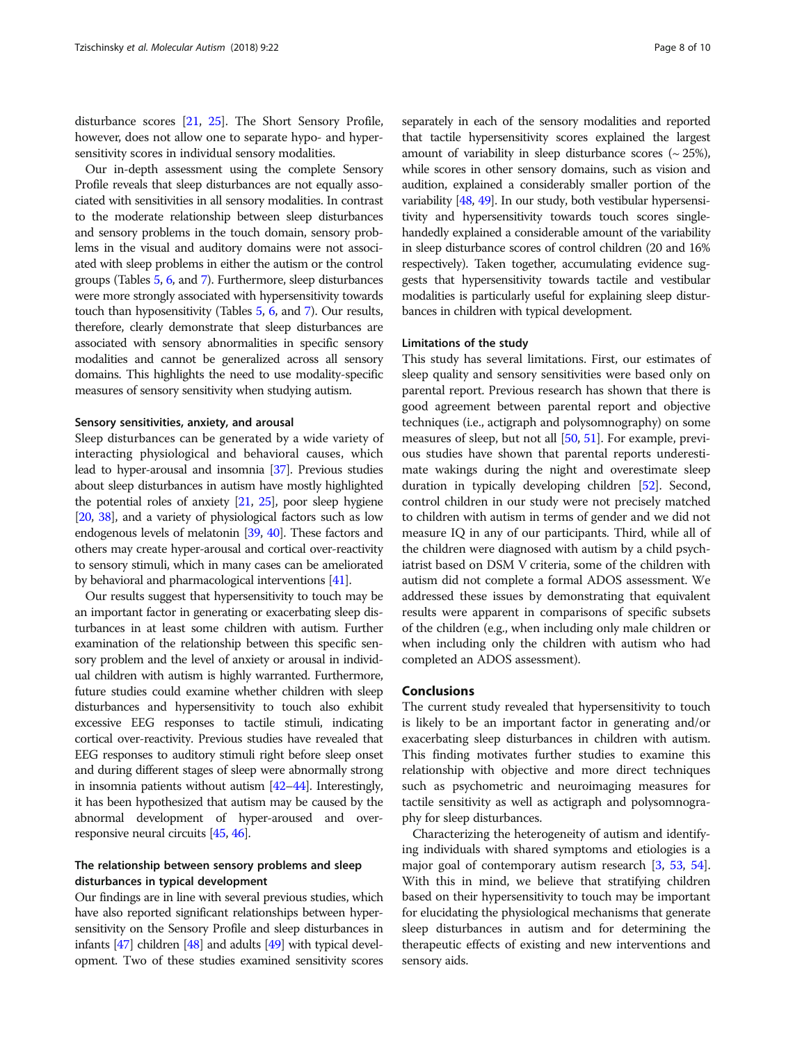disturbance scores [\[21,](#page-8-0) [25\]](#page-8-0). The Short Sensory Profile, however, does not allow one to separate hypo- and hypersensitivity scores in individual sensory modalities.

Our in-depth assessment using the complete Sensory Profile reveals that sleep disturbances are not equally associated with sensitivities in all sensory modalities. In contrast to the moderate relationship between sleep disturbances and sensory problems in the touch domain, sensory problems in the visual and auditory domains were not associated with sleep problems in either the autism or the control groups (Tables [5](#page-5-0), [6,](#page-6-0) and [7](#page-6-0)). Furthermore, sleep disturbances were more strongly associated with hypersensitivity towards touch than hyposensitivity (Tables [5,](#page-5-0) [6](#page-6-0), and [7\)](#page-6-0). Our results, therefore, clearly demonstrate that sleep disturbances are associated with sensory abnormalities in specific sensory modalities and cannot be generalized across all sensory domains. This highlights the need to use modality-specific measures of sensory sensitivity when studying autism.

#### Sensory sensitivities, anxiety, and arousal

Sleep disturbances can be generated by a wide variety of interacting physiological and behavioral causes, which lead to hyper-arousal and insomnia [\[37\]](#page-9-0). Previous studies about sleep disturbances in autism have mostly highlighted the potential roles of anxiety [[21](#page-8-0), [25\]](#page-8-0), poor sleep hygiene [[20](#page-8-0), [38](#page-9-0)], and a variety of physiological factors such as low endogenous levels of melatonin [[39](#page-9-0), [40\]](#page-9-0). These factors and others may create hyper-arousal and cortical over-reactivity to sensory stimuli, which in many cases can be ameliorated by behavioral and pharmacological interventions [\[41\]](#page-9-0).

Our results suggest that hypersensitivity to touch may be an important factor in generating or exacerbating sleep disturbances in at least some children with autism. Further examination of the relationship between this specific sensory problem and the level of anxiety or arousal in individual children with autism is highly warranted. Furthermore, future studies could examine whether children with sleep disturbances and hypersensitivity to touch also exhibit excessive EEG responses to tactile stimuli, indicating cortical over-reactivity. Previous studies have revealed that EEG responses to auditory stimuli right before sleep onset and during different stages of sleep were abnormally strong in insomnia patients without autism [\[42](#page-9-0)–[44\]](#page-9-0). Interestingly, it has been hypothesized that autism may be caused by the abnormal development of hyper-aroused and overresponsive neural circuits [[45](#page-9-0), [46](#page-9-0)].

## The relationship between sensory problems and sleep disturbances in typical development

Our findings are in line with several previous studies, which have also reported significant relationships between hypersensitivity on the Sensory Profile and sleep disturbances in infants [\[47](#page-9-0)] children [\[48](#page-9-0)] and adults [\[49\]](#page-9-0) with typical development. Two of these studies examined sensitivity scores

separately in each of the sensory modalities and reported that tactile hypersensitivity scores explained the largest amount of variability in sleep disturbance scores  $({\sim} 25\%)$ , while scores in other sensory domains, such as vision and audition, explained a considerably smaller portion of the variability [\[48,](#page-9-0) [49\]](#page-9-0). In our study, both vestibular hypersensitivity and hypersensitivity towards touch scores singlehandedly explained a considerable amount of the variability in sleep disturbance scores of control children (20 and 16% respectively). Taken together, accumulating evidence suggests that hypersensitivity towards tactile and vestibular modalities is particularly useful for explaining sleep disturbances in children with typical development.

#### Limitations of the study

This study has several limitations. First, our estimates of sleep quality and sensory sensitivities were based only on parental report. Previous research has shown that there is good agreement between parental report and objective techniques (i.e., actigraph and polysomnography) on some measures of sleep, but not all [\[50,](#page-9-0) [51](#page-9-0)]. For example, previous studies have shown that parental reports underestimate wakings during the night and overestimate sleep duration in typically developing children [[52\]](#page-9-0). Second, control children in our study were not precisely matched to children with autism in terms of gender and we did not measure IQ in any of our participants. Third, while all of the children were diagnosed with autism by a child psychiatrist based on DSM V criteria, some of the children with autism did not complete a formal ADOS assessment. We addressed these issues by demonstrating that equivalent results were apparent in comparisons of specific subsets of the children (e.g., when including only male children or when including only the children with autism who had completed an ADOS assessment).

#### **Conclusions**

The current study revealed that hypersensitivity to touch is likely to be an important factor in generating and/or exacerbating sleep disturbances in children with autism. This finding motivates further studies to examine this relationship with objective and more direct techniques such as psychometric and neuroimaging measures for tactile sensitivity as well as actigraph and polysomnography for sleep disturbances.

Characterizing the heterogeneity of autism and identifying individuals with shared symptoms and etiologies is a major goal of contemporary autism research [[3,](#page-8-0) [53](#page-9-0), [54](#page-9-0)]. With this in mind, we believe that stratifying children based on their hypersensitivity to touch may be important for elucidating the physiological mechanisms that generate sleep disturbances in autism and for determining the therapeutic effects of existing and new interventions and sensory aids.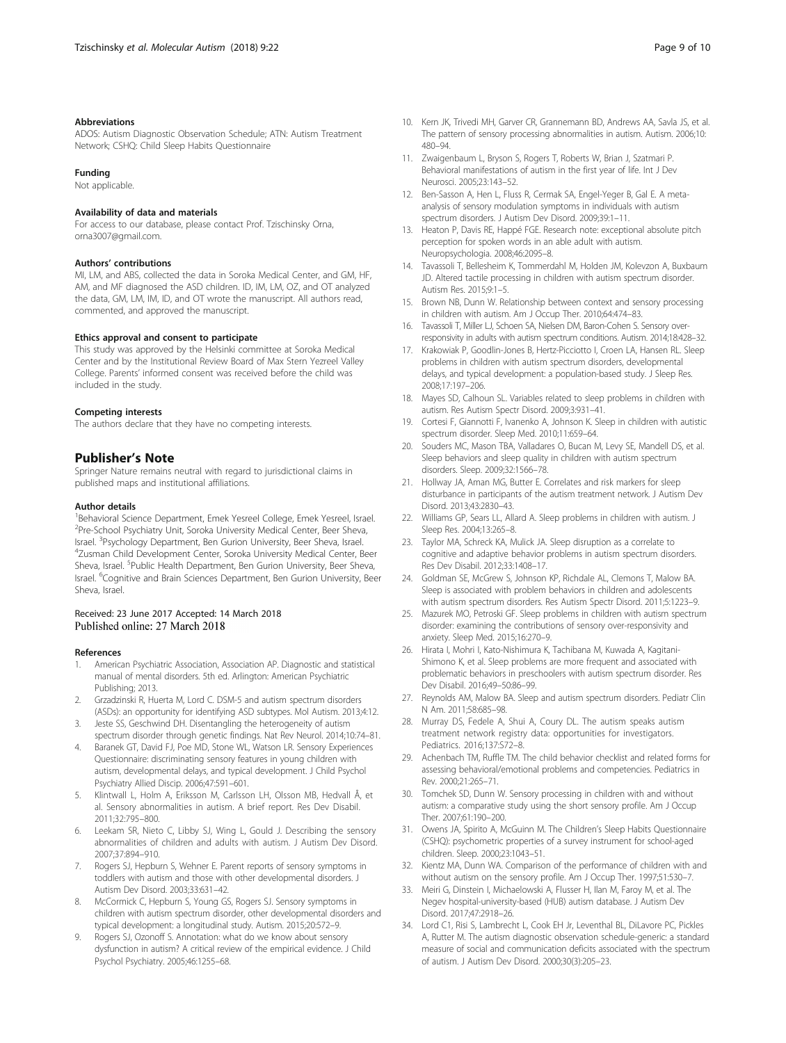#### <span id="page-8-0"></span>Abbreviations

ADOS: Autism Diagnostic Observation Schedule; ATN: Autism Treatment Network; CSHQ: Child Sleep Habits Questionnaire

#### Funding

Not applicable.

#### Availability of data and materials

For access to our database, please contact Prof. Tzischinsky Orna, orna3007@gmail.com.

#### Authors' contributions

MI, LM, and ABS, collected the data in Soroka Medical Center, and GM, HF, AM, and MF diagnosed the ASD children. ID, IM, LM, OZ, and OT analyzed the data, GM, LM, IM, ID, and OT wrote the manuscript. All authors read, commented, and approved the manuscript.

#### Ethics approval and consent to participate

This study was approved by the Helsinki committee at Soroka Medical Center and by the Institutional Review Board of Max Stern Yezreel Valley College. Parents' informed consent was received before the child was included in the study.

#### Competing interests

The authors declare that they have no competing interests.

#### Publisher's Note

Springer Nature remains neutral with regard to jurisdictional claims in published maps and institutional affiliations.

#### Author details

<sup>1</sup> Behavioral Science Department, Emek Yesreel College, Emek Yesreel, Israel. <sup>2</sup>Pre-School Psychiatry Unit, Soroka University Medical Center, Beer Sheva, Israel. <sup>3</sup>Psychology Department, Ben Gurion University, Beer Sheva, Israel.<br><sup>4</sup>Zusman Child Development Center, Soroka University Medical Center. 6 <sup>4</sup>Zusman Child Development Center, Soroka University Medical Center, Beer Sheva, Israel. <sup>5</sup>Public Health Department, Ben Gurion University, Beer Sheva, Israel. <sup>6</sup>Cognitive and Brain Sciences Department, Ben Gurion University, Beer Sheva, Israel.

#### Received: 23 June 2017 Accepted: 14 March 2018 Published online: 27 March 2018

#### References

- 1. American Psychiatric Association, Association AP. Diagnostic and statistical manual of mental disorders. 5th ed. Arlington: American Psychiatric Publishing; 2013.
- 2. Grzadzinski R, Huerta M, Lord C. DSM-5 and autism spectrum disorders (ASDs): an opportunity for identifying ASD subtypes. Mol Autism. 2013;4:12.
- 3. Jeste SS, Geschwind DH. Disentangling the heterogeneity of autism spectrum disorder through genetic findings. Nat Rev Neurol. 2014;10:74–81.
- Baranek GT, David FJ, Poe MD, Stone WL, Watson LR. Sensory Experiences Questionnaire: discriminating sensory features in young children with autism, developmental delays, and typical development. J Child Psychol Psychiatry Allied Discip. 2006;47:591–601.
- 5. Klintwall L, Holm A, Eriksson M, Carlsson LH, Olsson MB, Hedvall Å, et al. Sensory abnormalities in autism. A brief report. Res Dev Disabil. 2011;32:795–800.
- Leekam SR, Nieto C, Libby SJ, Wing L, Gould J. Describing the sensory abnormalities of children and adults with autism. J Autism Dev Disord. 2007;37:894–910.
- 7. Rogers SJ, Hepburn S, Wehner E. Parent reports of sensory symptoms in toddlers with autism and those with other developmental disorders. J Autism Dev Disord. 2003;33:631–42.
- 8. McCormick C, Hepburn S, Young GS, Rogers SJ. Sensory symptoms in children with autism spectrum disorder, other developmental disorders and typical development: a longitudinal study. Autism. 2015;20:572–9.
- Rogers SJ, Ozonoff S. Annotation: what do we know about sensory dysfunction in autism? A critical review of the empirical evidence. J Child Psychol Psychiatry. 2005;46:1255–68.
- 10. Kern JK, Trivedi MH, Garver CR, Grannemann BD, Andrews AA, Savla JS, et al. The pattern of sensory processing abnormalities in autism. Autism. 2006;10: 480–94.
- 11. Zwaigenbaum L, Bryson S, Rogers T, Roberts W, Brian J, Szatmari P. Behavioral manifestations of autism in the first year of life. Int J Dev Neurosci. 2005;23:143–52.
- 12. Ben-Sasson A, Hen L, Fluss R, Cermak SA, Engel-Yeger B, Gal E. A metaanalysis of sensory modulation symptoms in individuals with autism spectrum disorders. J Autism Dev Disord. 2009;39:1–11.
- 13. Heaton P, Davis RE, Happé FGE. Research note: exceptional absolute pitch perception for spoken words in an able adult with autism. Neuropsychologia. 2008;46:2095–8.
- 14. Tavassoli T, Bellesheim K, Tommerdahl M, Holden JM, Kolevzon A, Buxbaum JD. Altered tactile processing in children with autism spectrum disorder. Autism Res. 2015;9:1–5.
- 15. Brown NB, Dunn W. Relationship between context and sensory processing in children with autism. Am J Occup Ther. 2010;64:474–83.
- 16. Tavassoli T, Miller LJ, Schoen SA, Nielsen DM, Baron-Cohen S. Sensory overresponsivity in adults with autism spectrum conditions. Autism. 2014;18:428–32.
- 17. Krakowiak P, Goodlin-Jones B, Hertz-Picciotto I, Croen LA, Hansen RL. Sleep problems in children with autism spectrum disorders, developmental delays, and typical development: a population-based study. J Sleep Res. 2008;17:197–206.
- 18. Mayes SD, Calhoun SL. Variables related to sleep problems in children with autism. Res Autism Spectr Disord. 2009;3:931–41.
- 19. Cortesi F, Giannotti F, Ivanenko A, Johnson K. Sleep in children with autistic spectrum disorder. Sleep Med. 2010;11:659–64.
- 20. Souders MC, Mason TBA, Valladares O, Bucan M, Levy SE, Mandell DS, et al. Sleep behaviors and sleep quality in children with autism spectrum disorders. Sleep. 2009;32:1566–78.
- 21. Hollway JA, Aman MG, Butter E. Correlates and risk markers for sleep disturbance in participants of the autism treatment network. J Autism Dev Disord. 2013;43:2830–43.
- 22. Williams GP, Sears LL, Allard A. Sleep problems in children with autism. J Sleep Res. 2004;13:265–8.
- 23. Taylor MA, Schreck KA, Mulick JA. Sleep disruption as a correlate to cognitive and adaptive behavior problems in autism spectrum disorders. Res Dev Disabil. 2012;33:1408–17.
- 24. Goldman SE, McGrew S, Johnson KP, Richdale AL, Clemons T, Malow BA. Sleep is associated with problem behaviors in children and adolescents with autism spectrum disorders. Res Autism Spectr Disord. 2011;5:1223–9.
- 25. Mazurek MO, Petroski GF. Sleep problems in children with autism spectrum disorder: examining the contributions of sensory over-responsivity and anxiety. Sleep Med. 2015;16:270–9.
- 26. Hirata I, Mohri I, Kato-Nishimura K, Tachibana M, Kuwada A, Kagitani-Shimono K, et al. Sleep problems are more frequent and associated with problematic behaviors in preschoolers with autism spectrum disorder. Res Dev Disabil. 2016;49–50:86–99.
- 27. Reynolds AM, Malow BA. Sleep and autism spectrum disorders. Pediatr Clin N Am. 2011;58:685–98.
- 28. Murray DS, Fedele A, Shui A, Coury DL. The autism speaks autism treatment network registry data: opportunities for investigators. Pediatrics. 2016;137:S72–8.
- 29. Achenbach TM, Ruffle TM. The child behavior checklist and related forms for assessing behavioral/emotional problems and competencies. Pediatrics in Rev. 2000;21:265–71.
- 30. Tomchek SD, Dunn W. Sensory processing in children with and without autism: a comparative study using the short sensory profile. Am J Occup Ther. 2007;61:190–200.
- 31. Owens JA, Spirito A, McGuinn M. The Children's Sleep Habits Questionnaire (CSHQ): psychometric properties of a survey instrument for school-aged children. Sleep. 2000;23:1043–51.
- 32. Kientz MA, Dunn WA. Comparison of the performance of children with and without autism on the sensory profile. Am J Occup Ther. 1997;51:530–7.
- 33. Meiri G, Dinstein I, Michaelowski A, Flusser H, Ilan M, Faroy M, et al. The Negev hospital-university-based (HUB) autism database. J Autism Dev Disord. 2017;47:2918–26.
- 34. Lord C1, Risi S, Lambrecht L, Cook EH Jr, Leventhal BL, DiLavore PC, Pickles A, Rutter M. The autism diagnostic observation schedule-generic: a standard measure of social and communication deficits associated with the spectrum of autism. J Autism Dev Disord. 2000;30(3):205–23.